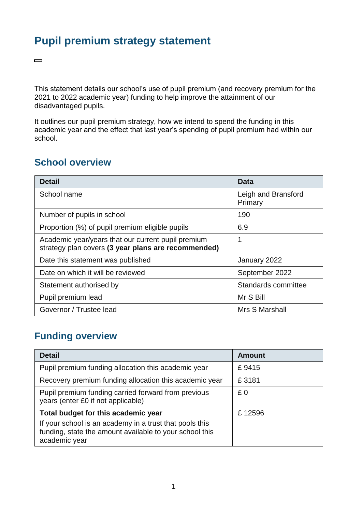## **Pupil premium strategy statement**

This statement details our school's use of pupil premium (and recovery premium for the 2021 to 2022 academic year) funding to help improve the attainment of our disadvantaged pupils.

It outlines our pupil premium strategy, how we intend to spend the funding in this academic year and the effect that last year's spending of pupil premium had within our school.

#### **School overview**

 $\qquad \qquad \Box$ 

| <b>Detail</b>                                                                                             | Data                           |
|-----------------------------------------------------------------------------------------------------------|--------------------------------|
| School name                                                                                               | Leigh and Bransford<br>Primary |
| Number of pupils in school                                                                                | 190                            |
| Proportion (%) of pupil premium eligible pupils                                                           | 6.9                            |
| Academic year/years that our current pupil premium<br>strategy plan covers (3 year plans are recommended) | 1                              |
| Date this statement was published                                                                         | January 2022                   |
| Date on which it will be reviewed                                                                         | September 2022                 |
| Statement authorised by                                                                                   | Standards committee            |
| Pupil premium lead                                                                                        | Mr S Bill                      |
| Governor / Trustee lead                                                                                   | Mrs S Marshall                 |

## **Funding overview**

| <b>Detail</b>                                                                                                                       | <b>Amount</b> |
|-------------------------------------------------------------------------------------------------------------------------------------|---------------|
| Pupil premium funding allocation this academic year                                                                                 | £9415         |
| Recovery premium funding allocation this academic year                                                                              | £3181         |
| Pupil premium funding carried forward from previous<br>years (enter £0 if not applicable)                                           | £0            |
| Total budget for this academic year                                                                                                 | £12596        |
| If your school is an academy in a trust that pools this<br>funding, state the amount available to your school this<br>academic year |               |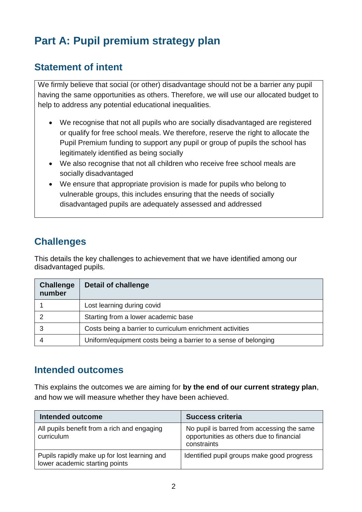# **Part A: Pupil premium strategy plan**

### **Statement of intent**

We firmly believe that social (or other) disadvantage should not be a barrier any pupil having the same opportunities as others. Therefore, we will use our allocated budget to help to address any potential educational inequalities.

- We recognise that not all pupils who are socially disadvantaged are registered or qualify for free school meals. We therefore, reserve the right to allocate the Pupil Premium funding to support any pupil or group of pupils the school has legitimately identified as being socially
- We also recognise that not all children who receive free school meals are socially disadvantaged
- We ensure that appropriate provision is made for pupils who belong to vulnerable groups, this includes ensuring that the needs of socially disadvantaged pupils are adequately assessed and addressed

## **Challenges**

This details the key challenges to achievement that we have identified among our disadvantaged pupils.

| <b>Challenge</b><br>number | <b>Detail of challenge</b>                                      |
|----------------------------|-----------------------------------------------------------------|
|                            | Lost learning during covid                                      |
|                            | Starting from a lower academic base                             |
|                            | Costs being a barrier to curriculum enrichment activities       |
|                            | Uniform/equipment costs being a barrier to a sense of belonging |

#### **Intended outcomes**

This explains the outcomes we are aiming for **by the end of our current strategy plan**, and how we will measure whether they have been achieved.

| <b>Intended outcome</b>                                                        | <b>Success criteria</b>                                                                               |
|--------------------------------------------------------------------------------|-------------------------------------------------------------------------------------------------------|
| All pupils benefit from a rich and engaging<br>curriculum                      | No pupil is barred from accessing the same<br>opportunities as others due to financial<br>constraints |
| Pupils rapidly make up for lost learning and<br>lower academic starting points | Identified pupil groups make good progress                                                            |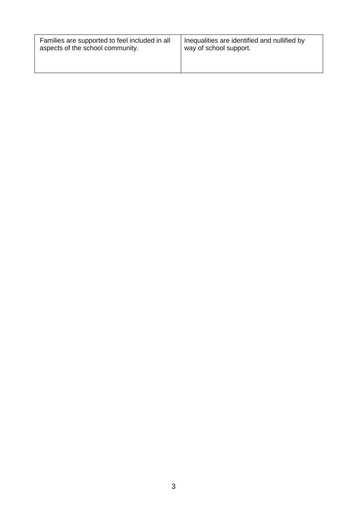| Families are supported to feel included in all | Inequalities are identified and nullified by |
|------------------------------------------------|----------------------------------------------|
| aspects of the school community.               | way of school support.                       |
|                                                |                                              |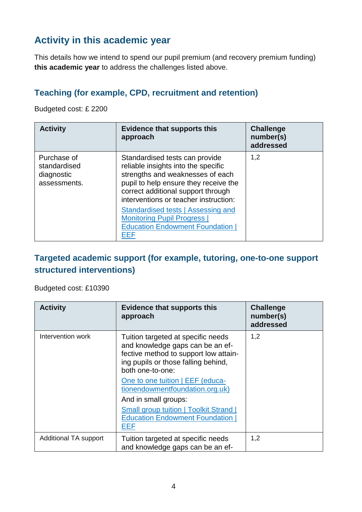## **Activity in this academic year**

This details how we intend to spend our pupil premium (and recovery premium funding) **this academic year** to address the challenges listed above.

#### **Teaching (for example, CPD, recruitment and retention)**

Budgeted cost: £ 2200

| <b>Activity</b>                                           | <b>Evidence that supports this</b><br>approach                                                                                                                                                                                    | <b>Challenge</b><br>number(s)<br>addressed |
|-----------------------------------------------------------|-----------------------------------------------------------------------------------------------------------------------------------------------------------------------------------------------------------------------------------|--------------------------------------------|
| Purchase of<br>standardised<br>diagnostic<br>assessments. | Standardised tests can provide<br>reliable insights into the specific<br>strengths and weaknesses of each<br>pupil to help ensure they receive the<br>correct additional support through<br>interventions or teacher instruction: | 1,2                                        |
|                                                           | Standardised tests   Assessing and<br><b>Monitoring Pupil Progress  </b><br><b>Education Endowment Foundation  </b><br>EEF                                                                                                        |                                            |

#### **Targeted academic support (for example, tutoring, one-to-one support structured interventions)**

Budgeted cost: £10390

| <b>Activity</b>       | <b>Evidence that supports this</b><br>approach                                                                                                                                                                                                                                                                                                                             | <b>Challenge</b><br>number(s)<br>addressed |
|-----------------------|----------------------------------------------------------------------------------------------------------------------------------------------------------------------------------------------------------------------------------------------------------------------------------------------------------------------------------------------------------------------------|--------------------------------------------|
| Intervention work     | Tuition targeted at specific needs<br>and knowledge gaps can be an ef-<br>fective method to support low attain-<br>ing pupils or those falling behind,<br>both one-to-one:<br>One to one tuition   EEF (educa-<br>tionendowmentfoundation.org.uk)<br>And in small groups:<br><b>Small group tuition   Toolkit Strand  </b><br><b>Education Endowment Foundation</b><br>EEF | 1,2                                        |
| Additional TA support | Tuition targeted at specific needs<br>and knowledge gaps can be an ef-                                                                                                                                                                                                                                                                                                     | 1,2                                        |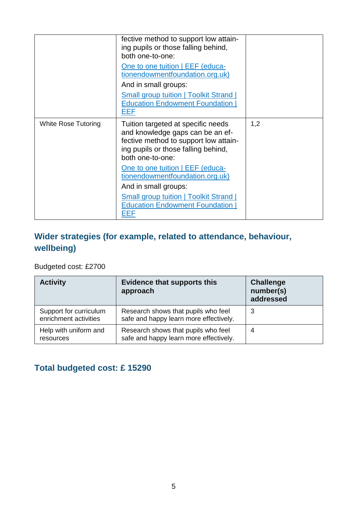|                            | fective method to support low attain-<br>ing pupils or those falling behind,<br>both one-to-one:<br>One to one tuition   EEF (educa-<br>tionendowmentfoundation.org.uk)<br>And in small groups:<br><b>Small group tuition   Toolkit Strand  </b><br><b>Education Endowment Foundation</b><br>EEF                                                                           |     |
|----------------------------|----------------------------------------------------------------------------------------------------------------------------------------------------------------------------------------------------------------------------------------------------------------------------------------------------------------------------------------------------------------------------|-----|
| <b>White Rose Tutoring</b> | Tuition targeted at specific needs<br>and knowledge gaps can be an ef-<br>fective method to support low attain-<br>ing pupils or those falling behind,<br>both one-to-one:<br>One to one tuition   EEF (educa-<br>tionendowmentfoundation.org.uk)<br>And in small groups:<br><b>Small group tuition   Toolkit Strand  </b><br><b>Education Endowment Foundation</b><br>EEF | 1,2 |

## **Wider strategies (for example, related to attendance, behaviour, wellbeing)**

Budgeted cost: £2700

| <b>Activity</b>                                 | <b>Evidence that supports this</b><br>approach                                | <b>Challenge</b><br>number(s)<br>addressed |
|-------------------------------------------------|-------------------------------------------------------------------------------|--------------------------------------------|
| Support for curriculum<br>enrichment activities | Research shows that pupils who feel<br>safe and happy learn more effectively. | 3                                          |
| Help with uniform and<br>resources              | Research shows that pupils who feel<br>safe and happy learn more effectively. | 4                                          |

### **Total budgeted cost: £ 15290**